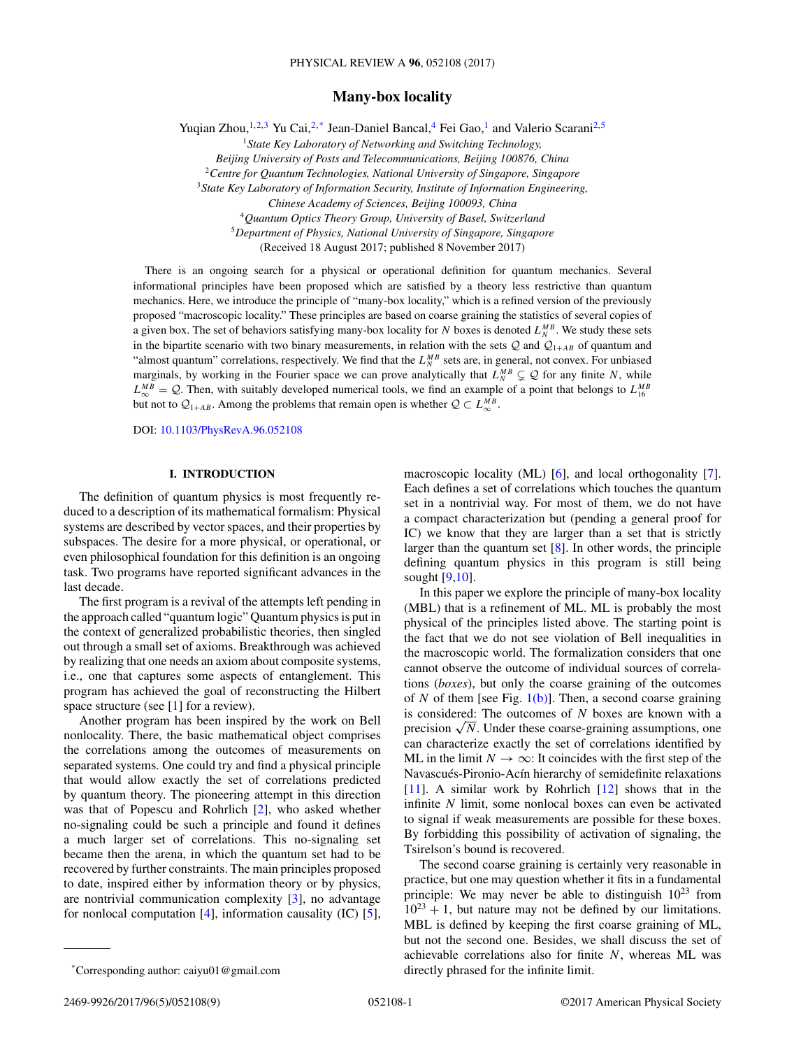## **Many-box locality**

Yuqian Zhou,<sup>1,2,3</sup> Yu Cai,<sup>2,\*</sup> Jean-Daniel Bancal,<sup>4</sup> Fei Gao,<sup>1</sup> and Valerio Scarani<sup>2,5</sup>

<sup>1</sup>*State Key Laboratory of Networking and Switching Technology,*

*Beijing University of Posts and Telecommunications, Beijing 100876, China*

<sup>2</sup>*Centre for Quantum Technologies, National University of Singapore, Singapore*

<sup>3</sup>*State Key Laboratory of Information Security, Institute of Information Engineering,*

<sup>5</sup>*Department of Physics, National University of Singapore, Singapore*

(Received 18 August 2017; published 8 November 2017)

There is an ongoing search for a physical or operational definition for quantum mechanics. Several informational principles have been proposed which are satisfied by a theory less restrictive than quantum mechanics. Here, we introduce the principle of "many-box locality," which is a refined version of the previously proposed "macroscopic locality." These principles are based on coarse graining the statistics of several copies of a given box. The set of behaviors satisfying many-box locality for *N* boxes is denoted  $L_N^{MB}$ . We study these sets in the bipartite scenario with two binary measurements, in relation with the sets  $Q$  and  $Q_{1+AB}$  of quantum and "almost quantum" correlations, respectively. We find that the  $L_N^{MB}$  sets are, in general, not convex. For unbiased marginals, by working in the Fourier space we can prove analytically that  $L_N^{MB} \subsetneq Q$  for any finite *N*, while  $L_{\infty}^{MB} = Q$ . Then, with suitably developed numerical tools, we find an example of a point that belongs to  $L_{16}^{MB}$ but not to  $Q_{1+AB}$ . Among the problems that remain open is whether  $Q \subset L_{\infty}^{MB}$ .

DOI: [10.1103/PhysRevA.96.052108](https://doi.org/10.1103/PhysRevA.96.052108)

## **I. INTRODUCTION**

The definition of quantum physics is most frequently reduced to a description of its mathematical formalism: Physical systems are described by vector spaces, and their properties by subspaces. The desire for a more physical, or operational, or even philosophical foundation for this definition is an ongoing task. Two programs have reported significant advances in the last decade.

The first program is a revival of the attempts left pending in the approach called "quantum logic" Quantum physics is put in the context of generalized probabilistic theories, then singled out through a small set of axioms. Breakthrough was achieved by realizing that one needs an axiom about composite systems, i.e., one that captures some aspects of entanglement. This program has achieved the goal of reconstructing the Hilbert space structure (see [\[1\]](#page-8-0) for a review).

Another program has been inspired by the work on Bell nonlocality. There, the basic mathematical object comprises the correlations among the outcomes of measurements on separated systems. One could try and find a physical principle that would allow exactly the set of correlations predicted by quantum theory. The pioneering attempt in this direction was that of Popescu and Rohrlich [\[2\]](#page-8-0), who asked whether no-signaling could be such a principle and found it defines a much larger set of correlations. This no-signaling set became then the arena, in which the quantum set had to be recovered by further constraints. The main principles proposed to date, inspired either by information theory or by physics, are nontrivial communication complexity [\[3\]](#page-8-0), no advantage for nonlocal computation [\[4\]](#page-8-0), information causality (IC) [\[5\]](#page-8-0), macroscopic locality (ML) [\[6\]](#page-8-0), and local orthogonality [\[7\]](#page-8-0). Each defines a set of correlations which touches the quantum set in a nontrivial way. For most of them, we do not have a compact characterization but (pending a general proof for IC) we know that they are larger than a set that is strictly larger than the quantum set  $[8]$ . In other words, the principle defining quantum physics in this program is still being sought [\[9,10\]](#page-8-0).

In this paper we explore the principle of many-box locality (MBL) that is a refinement of ML. ML is probably the most physical of the principles listed above. The starting point is the fact that we do not see violation of Bell inequalities in the macroscopic world. The formalization considers that one cannot observe the outcome of individual sources of correlations (*boxes*), but only the coarse graining of the outcomes of *N* of them [see Fig.  $1(b)$ ]. Then, a second coarse graining is considered: The outcomes of *N* boxes are known with a precision  $\sqrt{N}$ . Under these coarse-graining assumptions, one can characterize exactly the set of correlations identified by ML in the limit  $N \to \infty$ : It coincides with the first step of the Navascués-Pironio-Acín hierarchy of semidefinite relaxations [\[11\]](#page-8-0). A similar work by Rohrlich [\[12\]](#page-8-0) shows that in the infinite *N* limit, some nonlocal boxes can even be activated to signal if weak measurements are possible for these boxes. By forbidding this possibility of activation of signaling, the Tsirelson's bound is recovered.

The second coarse graining is certainly very reasonable in practice, but one may question whether it fits in a fundamental principle: We may never be able to distinguish  $10^{23}$  from  $10^{23} + 1$ , but nature may not be defined by our limitations. MBL is defined by keeping the first coarse graining of ML, but not the second one. Besides, we shall discuss the set of achievable correlations also for finite *N*, whereas ML was directly phrased for the infinite limit.

*Chinese Academy of Sciences, Beijing 100093, China*

<sup>4</sup>*Quantum Optics Theory Group, University of Basel, Switzerland*

<sup>\*</sup>Corresponding author: caiyu01@gmail.com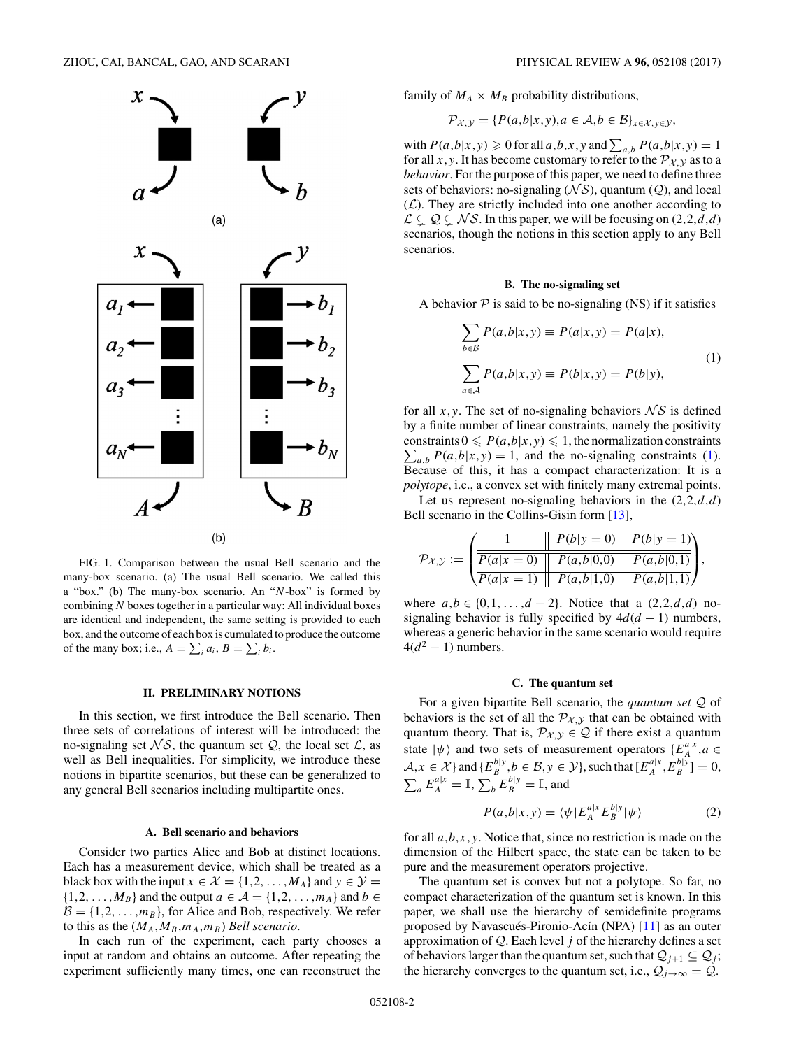<span id="page-1-0"></span>

FIG. 1. Comparison between the usual Bell scenario and the many-box scenario. (a) The usual Bell scenario. We called this a "box." (b) The many-box scenario. An "*N*-box" is formed by combining *N* boxes together in a particular way: All individual boxes are identical and independent, the same setting is provided to each box, and the outcome of each box is cumulated to produce the outcome of the many box; i.e.,  $A = \sum_i a_i$ ,  $B = \sum_i b_i$ .

#### **II. PRELIMINARY NOTIONS**

In this section, we first introduce the Bell scenario. Then three sets of correlations of interest will be introduced: the no-signaling set  $\mathcal{N}\mathcal{S}$ , the quantum set  $\mathcal{Q}$ , the local set  $\mathcal{L}$ , as well as Bell inequalities. For simplicity, we introduce these notions in bipartite scenarios, but these can be generalized to any general Bell scenarios including multipartite ones.

#### **A. Bell scenario and behaviors**

Consider two parties Alice and Bob at distinct locations. Each has a measurement device, which shall be treated as a black box with the input  $x \in \mathcal{X} = \{1, 2, ..., M_A\}$  and  $y \in \mathcal{Y} =$  $\{1, 2, \ldots, M_B\}$  and the output  $a \in A = \{1, 2, \ldots, m_A\}$  and  $b \in A$  $B = \{1, 2, \ldots, m_B\}$ , for Alice and Bob, respectively. We refer to this as the  $(M_A, M_B, m_A, m_B)$  *Bell scenario.* 

In each run of the experiment, each party chooses a input at random and obtains an outcome. After repeating the experiment sufficiently many times, one can reconstruct the

family of  $M_A \times M_B$  probability distributions,

$$
\mathcal{P}_{\mathcal{X},\mathcal{Y}} = \{ P(a,b|x,y), a \in \mathcal{A}, b \in \mathcal{B} \}_{x \in \mathcal{X}, y \in \mathcal{Y}},
$$

with  $P(a,b|x,y) \ge 0$  for all  $a,b,x,y$  and  $\sum_{a,b} P(a,b|x,y) = 1$ for all *x*, *y*. It has become customary to refer to the  $\mathcal{P}_{\mathcal{X},\mathcal{Y}}$  as to a *behavior*. For the purpose of this paper, we need to define three sets of behaviors: no-signaling  $(\mathcal{NS})$ , quantum  $(\mathcal{Q})$ , and local  $(\mathcal{L})$ . They are strictly included into one another according to  $\mathcal{L} \subsetneq \mathcal{Q} \subsetneq \mathcal{N} \mathcal{S}$ . In this paper, we will be focusing on  $(2,2,d,d)$ scenarios, though the notions in this section apply to any Bell scenarios.

#### **B. The no-signaling set**

A behavior  $P$  is said to be no-signaling (NS) if it satisfies

$$
\sum_{b \in B} P(a,b|x,y) \equiv P(a|x,y) = P(a|x),
$$
  

$$
\sum_{a \in A} P(a,b|x,y) \equiv P(b|x,y) = P(b|y),
$$
 (1)

for all  $x, y$ . The set of no-signaling behaviors  $\mathcal{N} \mathcal{S}$  is defined by a finite number of linear constraints, namely the positivity  $\sum_{a,b} P(a,b|x,y) = 1$ , and the no-signaling constraints (1). constraints  $0 \leq P(a,b|x,y) \leq 1$ , the normalization constraints Because of this, it has a compact characterization: It is a *polytope*, i.e., a convex set with finitely many extremal points.

Let us represent no-signaling behaviors in the (2*,*2*,d,d*) Bell scenario in the Collins-Gisin form [\[13\]](#page-8-0),

$$
\mathcal{P}_{\mathcal{X},\mathcal{Y}} := \left( \frac{1}{\frac{P(a|x=0)}{P(a|x=0)} \frac{P(b|y=0)}{P(a,b|0,0)} \frac{P(b|y=1)}{P(a,b|1,0)} \right),\,
$$

where *a,b* ∈ {0*,*1*, . . . ,d* − 2}. Notice that a (2*,*2*,d,d*) nosignaling behavior is fully specified by  $4d(d-1)$  numbers, whereas a generic behavior in the same scenario would require  $4(d^2 - 1)$  numbers.

## **C. The quantum set**

For a given bipartite Bell scenario, the *quantum set* Q of behaviors is the set of all the  $\mathcal{P}_{\mathcal{X},\mathcal{Y}}$  that can be obtained with quantum theory. That is,  $\mathcal{P}_{\mathcal{X},\mathcal{Y}} \in \mathcal{Q}$  if there exist a quantum state  $|\psi\rangle$  and two sets of measurement operators  $\{E_A^{a|x}, a \in A\}$  $A, x \in \mathcal{X}$  and  $\{E_B^{b|y}, b \in \mathcal{B}, y \in \mathcal{Y}\}$ , such that  $[E_A^{a|x}, E_B^{b|y}] = 0$ ,  $\sum_{a} E_A^{a|x} = \mathbb{I}, \sum_{b} E_B^{b|y} = \mathbb{I}, \text{ and}$ 

$$
P(a,b|x,y) = \langle \psi | E_A^{a|x} E_B^{b|y} | \psi \rangle \tag{2}
$$

for all *a,b,x,y*. Notice that, since no restriction is made on the dimension of the Hilbert space, the state can be taken to be pure and the measurement operators projective.

The quantum set is convex but not a polytope. So far, no compact characterization of the quantum set is known. In this paper, we shall use the hierarchy of semidefinite programs proposed by Navascués-Pironio-Acín (NPA) [\[11\]](#page-8-0) as an outer approximation of Q. Each level *j* of the hierarchy defines a set of behaviors larger than the quantum set, such that  $Q_{i+1} \subseteq Q_i$ ; the hierarchy converges to the quantum set, i.e.,  $Q_{j\rightarrow\infty} = Q$ .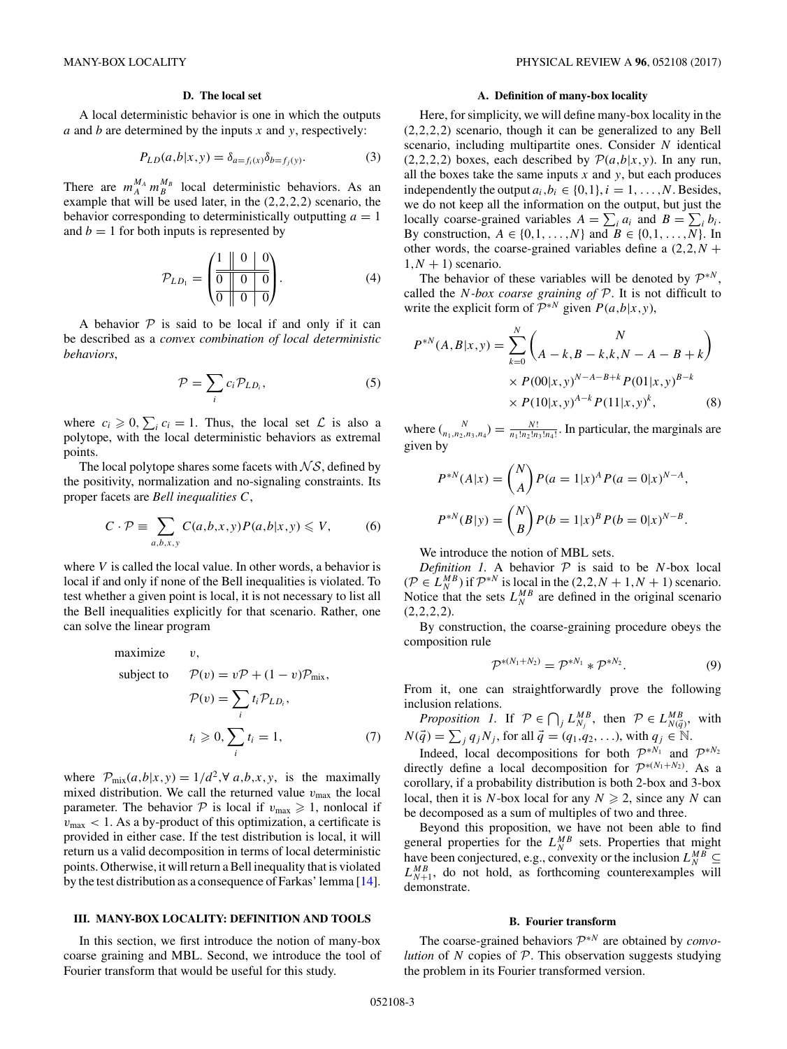## **D. The local set**

<span id="page-2-0"></span>A local deterministic behavior is one in which the outputs *a* and *b* are determined by the inputs *x* and *y*, respectively:

$$
P_{LD}(a,b|x,y) = \delta_{a=f_i(x)} \delta_{b=f_j(y)}.
$$
\n(3)

There are  $m_A^M m_B^M$  local deterministic behaviors. As an example that will be used later, in the (2*,*2*,*2*,*2) scenario, the behavior corresponding to deterministically outputting  $a = 1$ and  $b = 1$  for both inputs is represented by

$$
\mathcal{P}_{LD_1} = \left( \begin{array}{ccc|ccc} 1 & 0 & 0 & 0 \\ \hline 0 & 0 & 0 & 0 \\ \hline 0 & 0 & 0 & 0 \end{array} \right). \tag{4}
$$

A behavior  $P$  is said to be local if and only if it can be described as a *convex combination of local deterministic behaviors*,

$$
\mathcal{P} = \sum_{i} c_i \mathcal{P}_{LD_i},\tag{5}
$$

where  $c_i \geq 0$ ,  $\sum_i c_i = 1$ . Thus, the local set  $\mathcal L$  is also a polytope, with the local deterministic behaviors as extremal points.

The local polytope shares some facets with  $\mathcal{N} \mathcal{S}$ , defined by the positivity, normalization and no-signaling constraints. Its proper facets are *Bell inequalities C*,

$$
C \cdot \mathcal{P} \equiv \sum_{a,b,x,y} C(a,b,x,y) P(a,b|x,y) \leqslant V,\tag{6}
$$

where *V* is called the local value. In other words, a behavior is local if and only if none of the Bell inequalities is violated. To test whether a given point is local, it is not necessary to list all the Bell inequalities explicitly for that scenario. Rather, one can solve the linear program

maximize 
$$
v
$$
,  
\nsubject to  $\mathcal{P}(v) = v\mathcal{P} + (1 - v)\mathcal{P}_{mix}$ ,  
\n
$$
\mathcal{P}(v) = \sum_{i} t_i \mathcal{P}_{LD_i},
$$
\n
$$
t_i \geq 0, \sum_{i} t_i = 1,
$$
\n(7)

where  $\mathcal{P}_{\text{mix}}(a,b|x,y) = 1/d^2, \forall a,b,x,y$ , is the maximally mixed distribution. We call the returned value  $v_{\text{max}}$  the local parameter. The behavior  $P$  is local if  $v_{\text{max}} \geq 1$ , nonlocal if  $v_{\text{max}} < 1$ . As a by-product of this optimization, a certificate is provided in either case. If the test distribution is local, it will return us a valid decomposition in terms of local deterministic points. Otherwise, it will return a Bell inequality that is violated by the test distribution as a consequence of Farkas' lemma [\[14\]](#page-8-0).

## **III. MANY-BOX LOCALITY: DEFINITION AND TOOLS**

In this section, we first introduce the notion of many-box coarse graining and MBL. Second, we introduce the tool of Fourier transform that would be useful for this study.

#### **A. Definition of many-box locality**

Here, for simplicity, we will define many-box locality in the (2*,*2*,*2*,*2) scenario, though it can be generalized to any Bell scenario, including multipartite ones. Consider *N* identical  $(2,2,2,2)$  boxes, each described by  $\mathcal{P}(a,b|x,y)$ . In any run, all the boxes take the same inputs  $x$  and  $y$ , but each produces independently the output  $a_i, b_i \in \{0, 1\}, i = 1, \ldots, N$ . Besides, we do not keep all the information on the output, but just the locally coarse-grained variables  $A = \sum_i a_i$  and  $B = \sum_i b_i$ . By construction,  $A \in \{0, 1, \ldots, N\}$  and  $B \in \{0, 1, \ldots, N\}$ . In other words, the coarse-grained variables define a  $(2,2,N +$  $1, N + 1$ ) scenario.

The behavior of these variables will be denoted by  $\mathcal{P}^{*N}$ , called the *N-box coarse graining of* P. It is not difficult to write the explicit form of  $\mathcal{P}^{*N}$  given  $P(a,b|x,y)$ ,

$$
P^{*N}(A,B|x,y) = \sum_{k=0}^{N} \binom{N}{A-k, B-k, k, N-A-B+k}
$$

$$
\times P(00|x,y)^{N-A-B+k} P(01|x,y)^{B-k}
$$

$$
\times P(10|x,y)^{A-k} P(11|x,y)^{k}, \tag{8}
$$

where  $\binom{N}{n_1, n_2, n_3, n_4} = \frac{N!}{n_1! n_2! n_3! n_4!}$ . In particular, the marginals are given by

$$
P^{*N}(A|x) = {N \choose A} P(a=1|x)^A P(a=0|x)^{N-A},
$$
  

$$
P^{*N}(B|y) = {N \choose B} P(b=1|x)^B P(b=0|x)^{N-B}.
$$

We introduce the notion of MBL sets.

*Definition 1.* A behavior  $P$  is said to be *N*-box local  $(P \in L_N^{MB})$  if  $\mathcal{P}^{*N}$  is local in the  $(2,2,N+1,N+1)$  scenario. Notice that the sets  $L_N^{MB}$  are defined in the original scenario (2*,*2*,*2*,*2).

By construction, the coarse-graining procedure obeys the composition rule

$$
\mathcal{P}^{*(N_1+N_2)} = \mathcal{P}^{*N_1} * \mathcal{P}^{*N_2}.
$$
 (9)

From it, one can straightforwardly prove the following inclusion relations.

*Proposition 1.* If  $P \in \bigcap_j L_{N_j}^{MB}$ , then  $P \in L_{N(\vec{q})}^{MB}$ , with  $N(\vec{q}) = \sum_{j} q_{j} N_{j}$ , for all  $\vec{q} = (q_{1}, q_{2}, \ldots)$ , with  $q_{j} \in \mathbb{N}$ .

Indeed, local decompositions for both  $\mathcal{P}^{*N_1}$  and  $\mathcal{P}^{*N_2}$ directly define a local decomposition for  $\mathcal{P}^{*(N_1+N_2)}$ . As a corollary, if a probability distribution is both 2-box and 3-box local, then it is *N*-box local for any  $N \ge 2$ , since any *N* can be decomposed as a sum of multiples of two and three.

Beyond this proposition, we have not been able to find general properties for the  $L_N^{MB}$  sets. Properties that might have been conjectured, e.g., convexity or the inclusion  $L_N^{MB} \subseteq$  $L_{N+1}^{MB}$ , do not hold, as forthcoming counterexamples will demonstrate.

## **B. Fourier transform**

The coarse-grained behaviors <sup>P</sup><sup>∗</sup>*<sup>N</sup>* are obtained by *convolution* of *N* copies of P. This observation suggests studying the problem in its Fourier transformed version.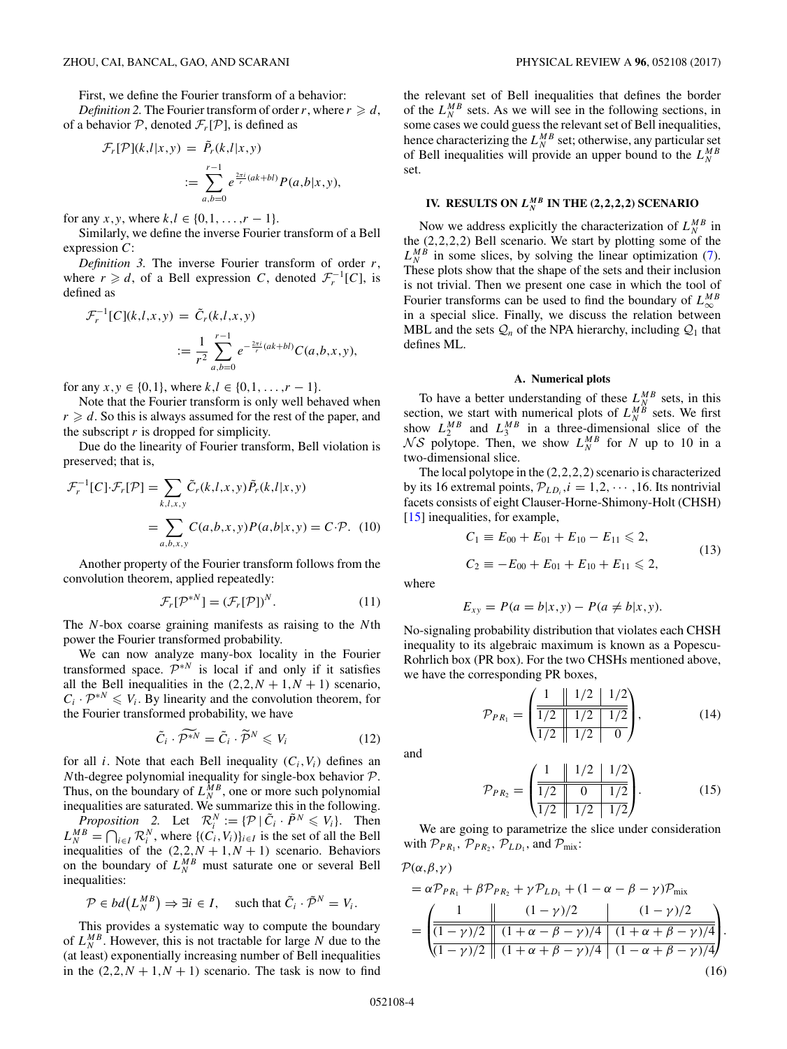<span id="page-3-0"></span>First, we define the Fourier transform of a behavior:

*Definition 2*. The Fourier transform of order *r*, where  $r \geqslant d$ , of a behavior P, denoted  $\mathcal{F}_r[\mathcal{P}]$ , is defined as

$$
\mathcal{F}_r[\mathcal{P}](k,l|x,y) = \tilde{P}_r(k,l|x,y)
$$

$$
:= \sum_{a,b=0}^{r-1} e^{\frac{2\pi i}{r}(ak+bl)} P(a,b|x,y),
$$

for any *x*, *y*, where  $k, l \in \{0, 1, \ldots, r - 1\}$ .

Similarly, we define the inverse Fourier transform of a Bell expression *C*:

*Definition 3.* The inverse Fourier transform of order *r*, where  $r \ge d$ , of a Bell expression *C*, denoted  $\mathcal{F}_r^{-1}[C]$ , is defined as

$$
\mathcal{F}_r^{-1}[C](k,l,x,y) = \tilde{C}_r(k,l,x,y)
$$

$$
:= \frac{1}{r^2} \sum_{a,b=0}^{r-1} e^{-\frac{2\pi i}{r}(ak+bl)} C(a,b,x,y),
$$

for any  $x, y \in \{0, 1\}$ , where  $k, l \in \{0, 1, \ldots, r - 1\}$ .

Note that the Fourier transform is only well behaved when  $r \geq d$ . So this is always assumed for the rest of the paper, and the subscript *r* is dropped for simplicity.

Due do the linearity of Fourier transform, Bell violation is preserved; that is,

$$
\mathcal{F}_r^{-1}[C]\cdot\mathcal{F}_r[\mathcal{P}] = \sum_{k,l,x,y} \tilde{C}_r(k,l,x,y)\tilde{P}_r(k,l|x,y)
$$

$$
= \sum_{a,b,x,y} C(a,b,x,y)P(a,b|x,y) = C\cdot\mathcal{P}.
$$
 (10)

Another property of the Fourier transform follows from the convolution theorem, applied repeatedly:

$$
\mathcal{F}_r[\mathcal{P}^{*N}] = (\mathcal{F}_r[\mathcal{P}])^N.
$$
 (11)

The *N*-box coarse graining manifests as raising to the *N*th power the Fourier transformed probability.

We can now analyze many-box locality in the Fourier transformed space.  $\mathcal{P}^{*N}$  is local if and only if it satisfies all the Bell inequalities in the  $(2,2,N+1,N+1)$  scenario,  $C_i \cdot \mathcal{P}^{*N} \leq V_i$ . By linearity and the convolution theorem, for the Fourier transformed probability, we have

$$
\tilde{C}_i \cdot \tilde{\mathcal{P}^{*N}} = \tilde{C}_i \cdot \tilde{\mathcal{P}}^N \leqslant V_i \tag{12}
$$

for all *i*. Note that each Bell inequality  $(C_i, V_i)$  defines an *N*th-degree polynomial inequality for single-box behavior P. Thus, on the boundary of  $L_N^{MB}$ , one or more such polynomial inequalities are saturated. We summarize this in the following.

*Proposition* 2. Let  $\mathcal{R}_i^N := \{ \mathcal{P} \mid \tilde{C}_i \cdot \tilde{P}^N \leq V_i \}$ . Then  $L_N^{MB} = \bigcap_{i \in I} \mathcal{R}_i^N$ , where  $\{(C_i, V_i)\}_{i \in I}$  is the set of all the Bell inequalities of the  $(2,2,N+1,N+1)$  scenario. Behaviors on the boundary of  $L_N^{MB}$  must saturate one or several Bell inequalities:

$$
\mathcal{P} \in bd(L_N^{MB}) \Rightarrow \exists i \in I, \quad \text{such that } \tilde{C}_i \cdot \tilde{\mathcal{P}}^N = V_i.
$$

This provides a systematic way to compute the boundary of  $L_N^{MB}$ . However, this is not tractable for large N due to the (at least) exponentially increasing number of Bell inequalities in the  $(2,2,N+1,N+1)$  scenario. The task is now to find

the relevant set of Bell inequalities that defines the border of the  $L_N^{MB}$  sets. As we will see in the following sections, in some cases we could guess the relevant set of Bell inequalities, hence characterizing the  $L_N^{MB}$  set; otherwise, any particular set of Bell inequalities will provide an upper bound to the  $L_N^{MB}$ set.

# **IV. RESULTS ON**  $L_N^{MB}$  **IN THE (2,2,2,2) SCENARIO**

Now we address explicitly the characterization of  $L_N^{MB}$  in the (2*,*2*,*2*,*2) Bell scenario. We start by plotting some of the  $L_N^{MB}$  in some slices, by solving the linear optimization [\(7\)](#page-2-0). These plots show that the shape of the sets and their inclusion is not trivial. Then we present one case in which the tool of Fourier transforms can be used to find the boundary of  $L_{\infty}^{MB}$ in a special slice. Finally, we discuss the relation between MBL and the sets  $Q_n$  of the NPA hierarchy, including  $Q_1$  that defines ML.

#### **A. Numerical plots**

To have a better understanding of these  $L_{N}^{MB}$  sets, in this section, we start with numerical plots of  $L_N^{MB}$  sets. We first show  $L_2^{MB}$  and  $L_3^{MB}$  in a three-dimensional slice of the  $\mathcal{N} \mathcal{S}$  polytope. Then, we show  $L_N^{MB}$  for  $N$  up to 10 in a two-dimensional slice.

The local polytope in the (2*,*2*,*2*,*2) scenario is characterized by its 16 extremal points,  $P_{LD_i}$ ,  $i = 1, 2, \dots, 16$ . Its nontrivial facets consists of eight Clauser-Horne-Shimony-Holt (CHSH) [\[15\]](#page-8-0) inequalities, for example,

$$
C_1 \equiv E_{00} + E_{01} + E_{10} - E_{11} \leq 2,
$$
  
\n
$$
C_2 \equiv -E_{00} + E_{01} + E_{10} + E_{11} \leq 2,
$$
\n(13)

where

$$
E_{xy} = P(a = b|x, y) - P(a \neq b|x, y).
$$

No-signaling probability distribution that violates each CHSH inequality to its algebraic maximum is known as a Popescu-Rohrlich box (PR box). For the two CHSHs mentioned above, we have the corresponding PR boxes,

$$
\mathcal{P}_{PR_1} = \left(\begin{array}{c|c|c} 1 & 1/2 & 1/2 \\ \hline 1/2 & 1/2 & 1/2 \\ \hline 1/2 & 1/2 & 0 \end{array}\right),\tag{14}
$$

and

$$
\mathcal{P}_{PR_2} = \begin{pmatrix} 1 & 1/2 & 1/2 \\ \frac{1}{2} & 0 & 1/2 \\ \frac{1}{2} & 1/2 & 1/2 \end{pmatrix} . \tag{15}
$$

We are going to parametrize the slice under consideration with  $\mathcal{P}_{PR_1}$ ,  $\mathcal{P}_{PR_2}$ ,  $\mathcal{P}_{LD_1}$ , and  $\mathcal{P}_{mix}$ :

$$
\mathcal{P}(\alpha,\beta,\gamma)
$$

$$
= \alpha \mathcal{P}_{PR_1} + \beta \mathcal{P}_{PR_2} + \gamma \mathcal{P}_{LD_1} + (1 - \alpha - \beta - \gamma) \mathcal{P}_{mix}
$$
  
= 
$$
\begin{pmatrix} 1 & (1 - \gamma)/2 & (1 - \gamma)/2 \\ \hline (1 - \gamma)/2 & (1 + \alpha - \beta - \gamma)/4 & (1 + \alpha + \beta - \gamma)/4 \\ (1 - \gamma)/2 & (1 + \alpha + \beta - \gamma)/4 & (1 - \alpha + \beta - \gamma)/4 \end{pmatrix}.
$$
(16)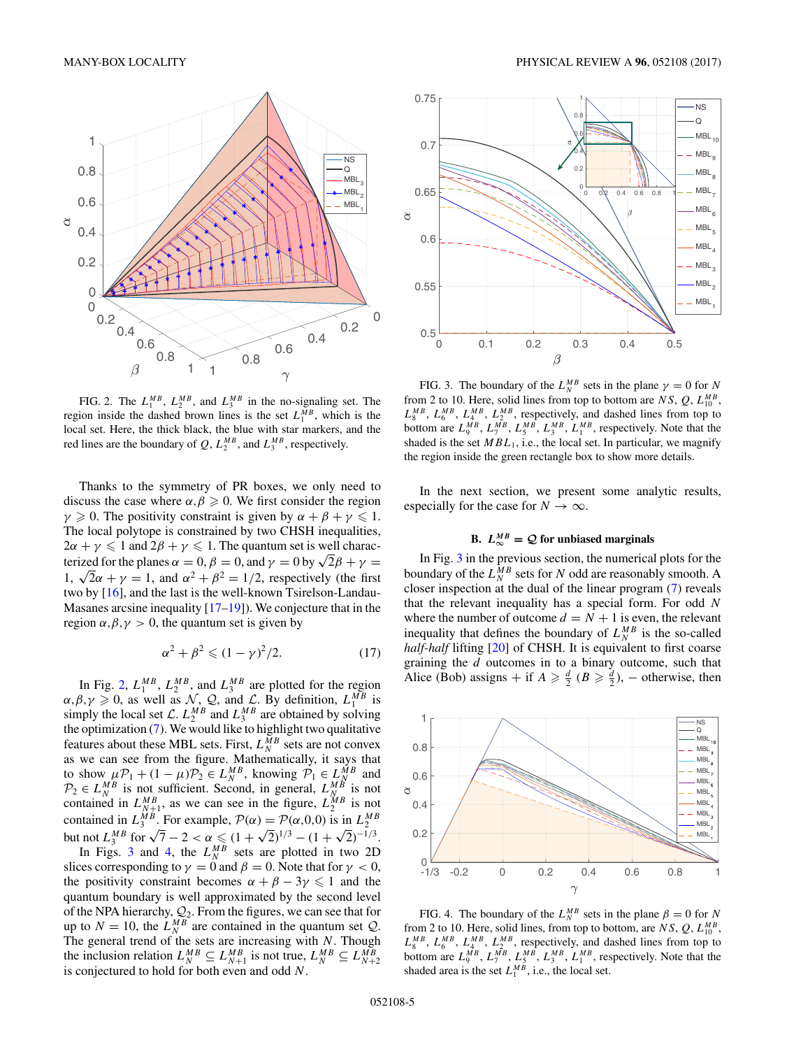<span id="page-4-0"></span>

FIG. 2. The  $L_1^{MB}$ ,  $L_2^{MB}$ , and  $L_3^{MB}$  in the no-signaling set. The region inside the dashed brown lines is the set  $L_1^{MB}$ , which is the local set. Here, the thick black, the blue with star markers, and the red lines are the boundary of  $Q$ ,  $L_2^{MB}$ , and  $L_3^{MB}$ , respectively.

Thanks to the symmetry of PR boxes, we only need to discuss the case where  $\alpha, \beta \geq 0$ . We first consider the region *γ*  $\ge$  0. The positivity constraint is given by  $\alpha + \beta + \gamma \leq 1$ . The local polytope is constrained by two CHSH inequalities,  $2\alpha + \gamma \leq 1$  and  $2\beta + \gamma \leq 1$ . The quantum set is well characterized for the planes  $\alpha = 0$ ,  $\beta = 0$ , and  $\gamma = 0$  by  $\sqrt{2}\beta + \gamma =$ 1,  $\sqrt{2}\alpha + \gamma = 1$ , and  $\alpha^2 + \beta^2 = 1/2$ , respectively (the first two by [\[16\]](#page-8-0), and the last is the well-known Tsirelson-Landau-Masanes arcsine inequality  $[17-19]$ ). We conjecture that in the region  $\alpha, \beta, \gamma > 0$ , the quantum set is given by

$$
\alpha^2 + \beta^2 \leq (1 - \gamma)^2 / 2. \tag{17}
$$

In Fig. 2,  $L_1^{MB}$ ,  $L_2^{MB}$ , and  $L_3^{MB}$  are plotted for the region  $\alpha, \beta, \gamma \geq 0$ , as well as  $\mathcal{N}, \mathcal{Q}$ , and  $\mathcal{L}$ . By definition,  $L_1^{MB}$  is simply the local set  $\mathcal{L}$ .  $L_2^{MB}$  and  $L_3^{MB}$  are obtained by solving the optimization [\(7\)](#page-2-0). We would like to highlight two qualitative features about these MBL sets. First,  $L_N^{MB}$  sets are not convex as we can see from the figure. Mathematically, it says that to show  $\mu \mathcal{P}_1 + (1 - \mu) \mathcal{P}_2 \in L_N^{MB}$ , knowing  $\mathcal{P}_1 \in L_N^{MB}$  and  $P_2 \in L_N^{MB}$  is not sufficient. Second, in general,  $L_N^{MB}$  is not contained in  $L_{N+1}^{MB}$ , as we can see in the figure,  $L_2^{MB}$  is not contained in  $L_3^{MB}$ . For example,  $P(\alpha) = P(\alpha, 0, 0)$  is in  $L_2^{MB}$ <br>but not  $L_3^{MB}$  for  $\sqrt{7} - 2 < \alpha \le (1 + \sqrt{2})^{1/3} - (1 + \sqrt{2})^{-1/3}$ .

In Figs. 3 and 4, the  $L_N^{MB}$  sets are plotted in two 2D slices corresponding to  $\gamma = 0$  and  $\beta = 0$ . Note that for  $\gamma < 0$ , the positivity constraint becomes  $\alpha + \beta - 3\gamma \leq 1$  and the quantum boundary is well approximated by the second level of the NPA hierarchy,  $Q_2$ . From the figures, we can see that for up to  $N = 10$ , the  $L_N^{MB}$  are contained in the quantum set  $Q$ . The general trend of the sets are increasing with *N*. Though the inclusion relation  $L_N^{MB} \subseteq L_{N+1}^{MB}$  is not true,  $L_N^{MB} \subseteq L_{N+2}^{MB}$ is conjectured to hold for both even and odd *N*.



FIG. 3. The boundary of the  $L_N^{MB}$  sets in the plane  $\gamma = 0$  for *N* from 2 to 10. Here, solid lines from top to bottom are  $NS$ ,  $Q$ ,  $L_{10}^{MB}$ ,  $L_8^{MB}$ ,  $L_6^{MB}$ ,  $L_4^{MB}$ ,  $L_2^{MB}$ , respectively, and dashed lines from top to bottom are  $L_9^{MB}$ ,  $L_7^{MB}$ ,  $L_5^{MB}$ ,  $L_3^{MB}$ ,  $L_1^{MB}$ , respectively. Note that the shaded is the set  $MBL_1$ , i.e., the local set. In particular, we magnify the region inside the green rectangle box to show more details.

In the next section, we present some analytic results, especially for the case for  $N \to \infty$ .

# **B.**  $L_{\infty}^{MB} = Q$  for unbiased marginals

In Fig. 3 in the previous section, the numerical plots for the boundary of the  $L_N^{MB}$  sets for *N* odd are reasonably smooth. A closer inspection at the dual of the linear program [\(7\)](#page-2-0) reveals that the relevant inequality has a special form. For odd *N* where the number of outcome  $d = N + 1$  is even, the relevant inequality that defines the boundary of  $L_N^{MB}$  is the so-called *half-half* lifting [\[20\]](#page-8-0) of CHSH. It is equivalent to first coarse graining the *d* outcomes in to a binary outcome, such that Alice (Bob) assigns + if  $A \ge \frac{d}{2}$  ( $B \ge \frac{d}{2}$ ), – otherwise, then



FIG. 4. The boundary of the  $L_N^{MB}$  sets in the plane  $\beta = 0$  for *N* from 2 to 10. Here, solid lines, from top to bottom, are  $NS$ ,  $Q$ ,  $L_{10}^{MB}$ ,  $L_8^{MB}$ ,  $L_6^{MB}$ ,  $L_4^{MB}$ ,  $L_2^{MB}$ , respectively, and dashed lines from top to bottom are  $L_9^{MB}$ ,  $L_7^{MB}$ ,  $L_5^{MB}$ ,  $L_3^{MB}$ ,  $L_1^{MB}$ , respectively. Note that the shaded area is the set  $L_1^{MB}$ , i.e., the local set.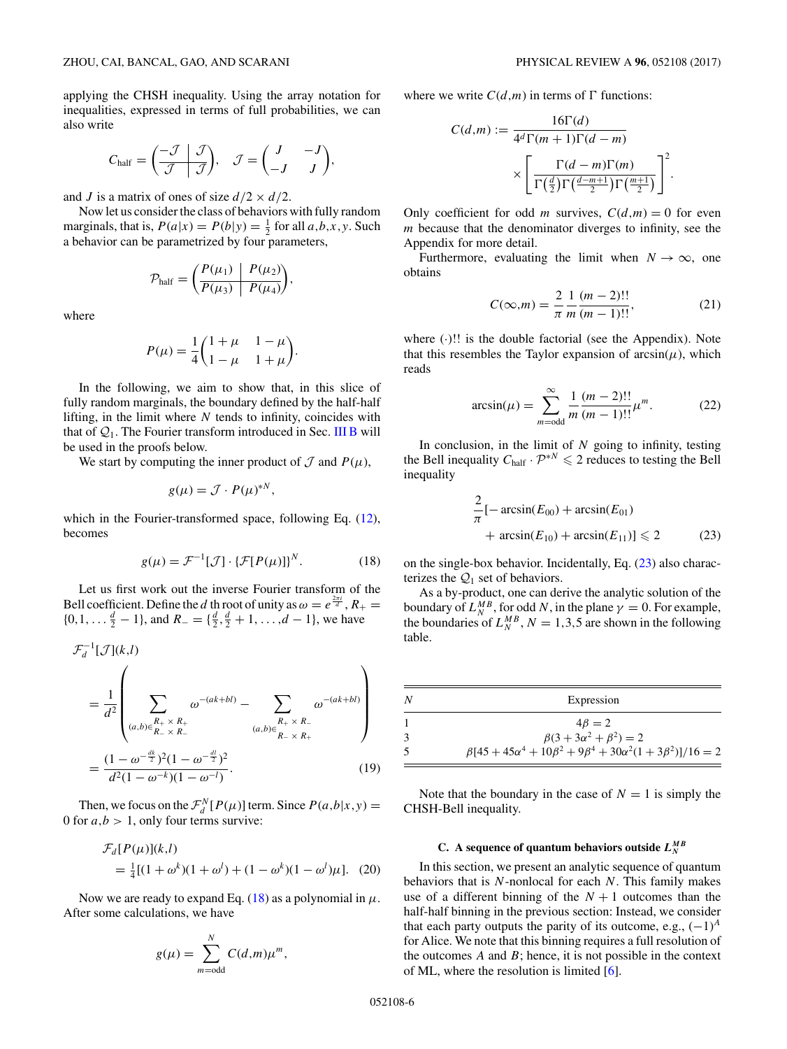<span id="page-5-0"></span>applying the CHSH inequality. Using the array notation for inequalities, expressed in terms of full probabilities, we can also write

$$
C_{\text{half}} = \left(\begin{array}{c|c} -\mathcal{J} & \mathcal{J} \\ \hline \mathcal{J} & \mathcal{J} \end{array}\right), \quad \mathcal{J} = \left(\begin{array}{cc} J & -J \\ -J & J \end{array}\right),
$$

and *J* is a matrix of ones of size  $d/2 \times d/2$ .

Now let us consider the class of behaviors with fully random marginals, that is,  $P(a|x) = P(b|y) = \frac{1}{2}$  for all  $a, b, x, y$ . Such a behavior can be parametrized by four parameters,

$$
\mathcal{P}_{\text{half}} = \left(\frac{P(\mu_1)}{P(\mu_3)} \middle| \frac{P(\mu_2)}{P(\mu_4)}\right),\,
$$

where

$$
P(\mu) = \frac{1}{4} \begin{pmatrix} 1 + \mu & 1 - \mu \\ 1 - \mu & 1 + \mu \end{pmatrix}.
$$

In the following, we aim to show that, in this slice of fully random marginals, the boundary defined by the half-half lifting, in the limit where *N* tends to infinity, coincides with that of  $Q_1$ . The Fourier transform introduced in Sec. [III B](#page-2-0) will be used in the proofs below.

We start by computing the inner product of  $\mathcal J$  and  $P(\mu)$ ,

$$
g(\mu) = \mathcal{J} \cdot P(\mu)^{*N},
$$

which in the Fourier-transformed space, following Eq. [\(12\)](#page-3-0), becomes

$$
g(\mu) = \mathcal{F}^{-1}[\mathcal{J}] \cdot {\{\mathcal{F}[P(\mu)]\}}^N. \tag{18}
$$

Let us first work out the inverse Fourier transform of the Bell coefficient. Define the *d* th root of unity as  $\omega = e^{\frac{2\pi i}{d}}$ ,  $R_+ =$  $\{0, 1, \ldots, \frac{d}{2} - 1\}$ , and  $R_{-} = \{\frac{d}{2}, \frac{d}{2} + 1, \ldots, d - 1\}$ , we have

$$
\mathcal{F}_d^{-1}[\mathcal{J}](k,l)
$$
\n
$$
= \frac{1}{d^2} \left( \sum_{(a,b)\in\frac{R_+}{R_-} \times R_+} \omega^{-(ak+bl)} - \sum_{(a,b)\in\frac{R_+}{R_-} \times R_-} \omega^{-(ak+bl)} \right)
$$
\n
$$
= \frac{(1 - \omega^{-\frac{dk}{2}})^2 (1 - \omega^{-\frac{dl}{2}})^2}{d^2 (1 - \omega^{-k})(1 - \omega^{-l})}. \tag{19}
$$

Then, we focus on the  $\mathcal{F}_d^N[P(\mu)]$  term. Since  $P(a,b|x,y)$  = 0 for  $a, b > 1$ , only four terms survive:

$$
\mathcal{F}_d[P(\mu)](k,l) = \frac{1}{4}[(1+\omega^k)(1+\omega^l) + (1-\omega^k)(1-\omega^l)\mu].
$$
 (20)

Now we are ready to expand Eq.  $(18)$  as a polynomial in  $\mu$ . After some calculations, we have

$$
g(\mu) = \sum_{m=\text{odd}}^{N} C(d,m)\mu^{m},
$$

where we write  $C(d,m)$  in terms of  $\Gamma$  functions:

$$
C(d,m) := \frac{16\Gamma(d)}{4^d \Gamma(m+1)\Gamma(d-m)}
$$

$$
\times \left[ \frac{\Gamma(d-m)\Gamma(m)}{\Gamma(\frac{d}{2})\Gamma(\frac{d-m+1}{2})\Gamma(\frac{m+1}{2})} \right]^2.
$$

Only coefficient for odd *m* survives,  $C(d,m) = 0$  for even *m* because that the denominator diverges to infinity, see the Appendix for more detail.

Furthermore, evaluating the limit when  $N \to \infty$ , one obtains

$$
C(\infty, m) = \frac{2}{\pi} \frac{1}{m} \frac{(m-2)!!}{(m-1)!!},
$$
 (21)

where  $(.)!!$  is the double factorial (see the Appendix). Note that this resembles the Taylor expansion of  $arcsin(\mu)$ , which reads

$$
\arcsin(\mu) = \sum_{m=\text{odd}}^{\infty} \frac{1}{m} \frac{(m-2)!!}{(m-1)!!} \mu^m.
$$
 (22)

In conclusion, in the limit of *N* going to infinity, testing the Bell inequality  $C_{\text{half}} \cdot \mathcal{P}^{*N} \leq 2$  reduces to testing the Bell inequality

$$
\frac{2}{\pi}[-\arcsin(E_{00}) + \arcsin(E_{01}) + \arcsin(E_{10}) + \arcsin(E_{11})] \le 2
$$
\n(23)

on the single-box behavior. Incidentally, Eq. (23) also characterizes the  $Q_1$  set of behaviors.

As a by-product, one can derive the analytic solution of the boundary of  $L_N^{MB}$ , for odd *N*, in the plane  $\gamma = 0$ . For example, the boundaries of  $L_N^{MB}$ ,  $N = 1,3,5$  are shown in the following table.

| N | Expression                                                                        |
|---|-----------------------------------------------------------------------------------|
|   | $4\beta = 2$                                                                      |
| 3 | $\beta(3 + 3\alpha^2 + \beta^2) = 2$                                              |
| 5 | $\beta[45 + 45\alpha^4 + 10\beta^2 + 9\beta^4 + 30\alpha^2(1 + 3\beta^2)]/16 = 2$ |

Note that the boundary in the case of  $N = 1$  is simply the CHSH-Bell inequality.

# **C. A sequence of quantum behaviors outside** *L M B N*

In this section, we present an analytic sequence of quantum behaviors that is *N*-nonlocal for each *N*. This family makes use of a different binning of the  $N + 1$  outcomes than the half-half binning in the previous section: Instead, we consider that each party outputs the parity of its outcome, e.g.,  $(-1)^A$ for Alice. We note that this binning requires a full resolution of the outcomes *A* and *B*; hence, it is not possible in the context of ML, where the resolution is limited [\[6\]](#page-8-0).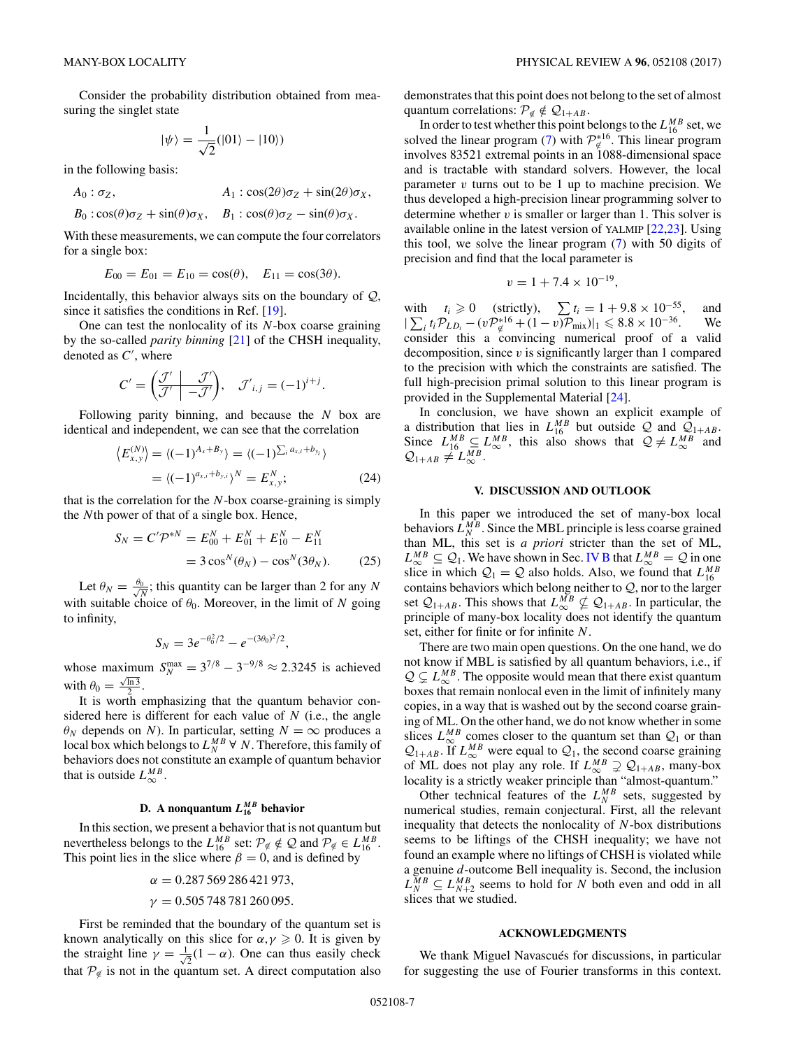Consider the probability distribution obtained from measuring the singlet state

$$
|\psi\rangle=\frac{1}{\sqrt{2}}(|01\rangle-|10\rangle)
$$

in the following basis:

$$
A_0: \sigma_Z, \qquad A_1: \cos(2\theta)\sigma_Z + \sin(2\theta)\sigma_X, B_0: \cos(\theta)\sigma_Z + \sin(\theta)\sigma_X, \qquad B_1: \cos(\theta)\sigma_Z - \sin(\theta)\sigma_X.
$$

With these measurements, we can compute the four correlators for a single box:

$$
E_{00} = E_{01} = E_{10} = \cos(\theta), \quad E_{11} = \cos(3\theta).
$$

Incidentally, this behavior always sits on the boundary of  $Q$ , since it satisfies the conditions in Ref. [\[19\]](#page-8-0).

One can test the nonlocality of its *N*-box coarse graining by the so-called *parity binning* [\[21\]](#page-8-0) of the CHSH inequality, denoted as *C* , where

$$
C' = \left(\frac{\mathcal{J}'}{\mathcal{J}'}\middle| \frac{\mathcal{J}'}{-\mathcal{J}'}\right), \quad \mathcal{J}'_{i,j} = (-1)^{i+j}.
$$

Following parity binning, and because the *N* box are identical and independent, we can see that the correlation

$$
\langle E_{x,y}^{(N)} \rangle = \langle (-1)^{A_x + B_y} \rangle = \langle (-1)^{\sum_i a_{x,i} + b_{y_i}} \rangle
$$
  
= 
$$
\langle (-1)^{a_{x,i} + b_{y,i}} \rangle^N = E_{x,y}^N;
$$
 (24)

that is the correlation for the *N*-box coarse-graining is simply the *N*th power of that of a single box. Hence,

$$
S_N = C' \mathcal{P}^{*N} = E_{00}^N + E_{01}^N + E_{10}^N - E_{11}^N
$$
  
=  $3 \cos^N(\theta_N) - \cos^N(3\theta_N)$ . (25)

Let  $\theta_N = \frac{\theta_0}{\sqrt{N}}$ ; this quantity can be larger than 2 for any *N* with suitable choice of  $\theta_0$ . Moreover, in the limit of *N* going to infinity,

$$
S_N = 3e^{-\theta_0^2/2} - e^{-(3\theta_0)^2/2},
$$

whose maximum  $S_N^{\text{max}} = 3^{7/8} - 3^{-9/8} \approx 2.3245$  is achieved with  $\theta_0 = \frac{\sqrt{\ln 3}}{2}$ .

It is worth emphasizing that the quantum behavior considered here is different for each value of *N* (i.e., the angle  $\theta_N$  depends on *N*). In particular, setting  $N = \infty$  produces a local box which belongs to  $L_N^{MB}$   $\forall$  *N*. Therefore, this family of behaviors does not constitute an example of quantum behavior that is outside  $L_{\infty}^{MB}$ .

# **D.** A nonquantum  $L_{16}^{MB}$  behavior

In this section, we present a behavior that is not quantum but nevertheless belongs to the  $L_{16}^{MB}$  set:  $\mathcal{P}_{\neq} \notin \mathcal{Q}$  and  $\mathcal{P}_{\neq} \in L_{16}^{MB}$ . This point lies in the slice where  $\beta = 0$ , and is defined by

$$
\alpha = 0.287\,569\,286\,421\,973,
$$
  

$$
\gamma = 0.505\,748\,781\,260\,095.
$$

First be reminded that the boundary of the quantum set is known analytically on this slice for  $\alpha, \gamma \geqslant 0$ . It is given by the straight line  $\gamma = \frac{1}{4}$  $\overline{z}$ (1 – *α*). One can thus easily check that  $\mathcal{P}_{\notin}$  is not in the quantum set. A direct computation also

demonstrates that this point does not belong to the set of almost quantum correlations:  $\mathcal{P}_{\notin} \notin \mathcal{Q}_{1+AB}$ .

In order to test whether this point belongs to the  $L_{16}^{MB}$  set, we solved the linear program [\(7\)](#page-2-0) with  $\mathcal{P}_{\notinfty}^{*16}$ . This linear program involves 83521 extremal points in an 1088-dimensional space and is tractable with standard solvers. However, the local parameter *v* turns out to be 1 up to machine precision. We thus developed a high-precision linear programming solver to determine whether *v* is smaller or larger than 1. This solver is available online in the latest version of YALMIP [\[22,23\]](#page-8-0). Using this tool, we solve the linear program [\(7\)](#page-2-0) with 50 digits of precision and find that the local parameter is

$$
v = 1 + 7.4 \times 10^{-19},
$$

with  $t_i \geq 0$  (strictly),  $\sum t_i = 1 + 9.8 \times 10^{-55}$ , and  $|\sum_i t_i \mathcal{P}_{LD_i} - (v\mathcal{P}_{\notin}^{*16} + (1 - v)\mathcal{P}_{mix})|_1 \leq 8.8 \times 10^{-36}$ . We consider this a convincing numerical proof of a valid decomposition, since *v* is significantly larger than 1 compared to the precision with which the constraints are satisfied. The full high-precision primal solution to this linear program is provided in the Supplemental Material [\[24\]](#page-8-0).

In conclusion, we have shown an explicit example of a distribution that lies in  $L_{16}^{MB}$  but outside Q and  $Q_{1+AB}$ . Since  $L_{16}^{MB} \subseteq L_{\infty}^{MB}$ , this also shows that  $\mathcal{Q} \neq L_{\infty}^{MB}$  and  $Q_{1+AB} \neq L_{\infty}^{MB}$ .

## **V. DISCUSSION AND OUTLOOK**

In this paper we introduced the set of many-box local behaviors  $L_N^{MB}$ . Since the MBL principle is less coarse grained than ML, this set is *a priori* stricter than the set of ML,  $L_{\infty}^{MB} \subseteq Q_1$ . We have shown in Sec. [IV B](#page-4-0) that  $L_{\infty}^{MB} = Q$  in one slice in which  $Q_1 = Q$  also holds. Also, we found that  $L_{16}^{MB}$ contains behaviors which belong neither to  $Q$ , nor to the larger set  $\mathcal{Q}_{1+AB}$ . This shows that  $L_{\infty}^{MB} \nsubseteq \mathcal{Q}_{1+AB}$ . In particular, the principle of many-box locality does not identify the quantum set, either for finite or for infinite *N*.

There are two main open questions. On the one hand, we do not know if MBL is satisfied by all quantum behaviors, i.e., if  $Q \subseteq L_{\infty}^{MB}$ . The opposite would mean that there exist quantum boxes that remain nonlocal even in the limit of infinitely many copies, in a way that is washed out by the second coarse graining of ML. On the other hand, we do not know whether in some slices  $L_{\infty}^{MB}$  comes closer to the quantum set than  $Q_1$  or than  $\mathcal{Q}_{1+AB}$ . If  $L^{MB}_{\infty}$  were equal to  $\mathcal{Q}_1$ , the second coarse graining of ML does not play any role. If  $L_{\infty}^{MB} \supsetneq Q_{1+AB}$ , many-box locality is a strictly weaker principle than "almost-quantum."

Other technical features of the  $L_N^{MB}$  sets, suggested by numerical studies, remain conjectural. First, all the relevant inequality that detects the nonlocality of *N*-box distributions seems to be liftings of the CHSH inequality; we have not found an example where no liftings of CHSH is violated while a genuine *d*-outcome Bell inequality is. Second, the inclusion  $L_N^{MB} \subseteq L_{N+2}^{MB}$  seems to hold for *N* both even and odd in all slices that we studied.

#### **ACKNOWLEDGMENTS**

We thank Miguel Navascués for discussions, in particular for suggesting the use of Fourier transforms in this context.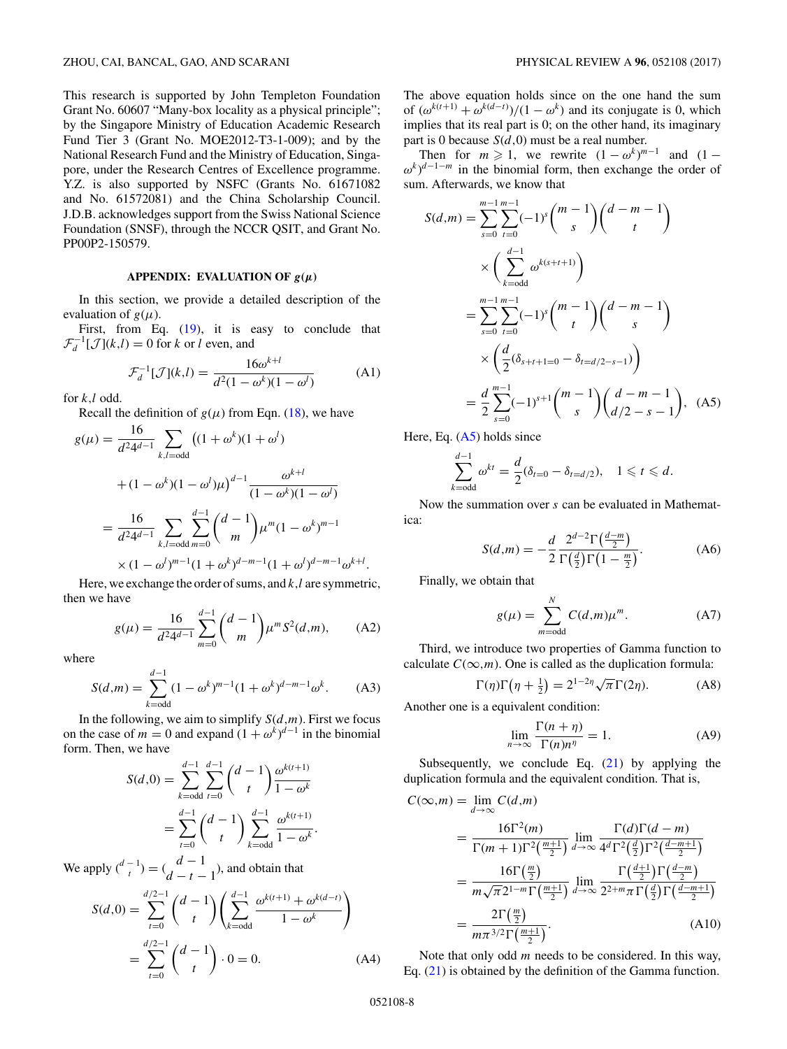This research is supported by John Templeton Foundation Grant No. 60607 "Many-box locality as a physical principle"; by the Singapore Ministry of Education Academic Research Fund Tier 3 (Grant No. MOE2012-T3-1-009); and by the National Research Fund and the Ministry of Education, Singapore, under the Research Centres of Excellence programme. Y.Z. is also supported by NSFC (Grants No. 61671082 and No. 61572081) and the China Scholarship Council. J.D.B. acknowledges support from the Swiss National Science Foundation (SNSF), through the NCCR QSIT, and Grant No. PP00P2-150579.

## **APPENDIX:** EVALUATION OF  $g(\mu)$

In this section, we provide a detailed description of the evaluation of  $g(\mu)$ .

First, from Eq. [\(19\)](#page-5-0), it is easy to conclude that  $\mathcal{F}_d^{-1}[\mathcal{J}](k,l) = 0$  for *k* or *l* even, and

$$
\mathcal{F}_d^{-1}[\mathcal{J}](k,l) = \frac{16\omega^{k+l}}{d^2(1-\omega^k)(1-\omega^l)}
$$
(A1)

for *k,l* odd.

Recall the definition of  $g(\mu)$  from Eqn. [\(18\)](#page-5-0), we have

$$
g(\mu) = \frac{16}{d^2 4^{d-1}} \sum_{k,l=\text{odd}} \left( (1 + \omega^k)(1 + \omega^l) + (1 - \omega^k)(1 - \omega^l)\mu \right)^{d-1} \frac{\omega^{k+l}}{(1 - \omega^k)(1 - \omega^l)}
$$
  
= 
$$
\frac{16}{d^2 4^{d-1}} \sum_{k,l=\text{odd}} \sum_{m=0}^{d-1} {d-1 \choose m} \mu^m (1 - \omega^k)^{m-1}
$$

$$
\times (1 - \omega^l)^{m-1} (1 + \omega^k)^{d-m-1} (1 + \omega^l)^{d-m-1} \omega^{k+l}.
$$

Here, we exchange the order of sums, and *k,l* are symmetric, then we have

$$
g(\mu) = \frac{16}{d^2 4^{d-1}} \sum_{m=0}^{d-1} {d-1 \choose m} \mu^m S^2(d,m), \quad (A2)
$$

where

$$
S(d,m) = \sum_{k=\text{odd}}^{d-1} (1 - \omega^k)^{m-1} (1 + \omega^k)^{d-m-1} \omega^k.
$$
 (A3)

In the following, we aim to simplify  $S(d,m)$ . First we focus on the case of  $m = 0$  and expand  $(1 + \omega^k)^{d-1}$  in the binomial form. Then, we have

$$
S(d,0) = \sum_{k=\text{odd}}^{d-1} \sum_{t=0}^{d-1} {d-1 \choose t} \frac{\omega^{k(t+1)}}{1-\omega^k}
$$
  
= 
$$
\sum_{t=0}^{d-1} {d-1 \choose t} \sum_{k=\text{odd}}^{d-1} \frac{\omega^{k(t+1)}}{1-\omega^k}.
$$

We apply  $\binom{d-1}{t} = \binom{d-1}{d-t-1}$ , and obtain that

*d*−1

$$
S(d,0) = \sum_{t=0}^{d/2-1} {d-1 \choose t} \left( \sum_{k=\text{odd}}^{d-1} \frac{\omega^{k(t+1)} + \omega^{k(d-t)}}{1 - \omega^k} \right)
$$
  
= 
$$
\sum_{t=0}^{d/2-1} {d-1 \choose t} \cdot 0 = 0.
$$
 (A4)

The above equation holds since on the one hand the sum of  $(\omega^{k(t+1)} + \omega^{k(d-t)})/(1 - \omega^k)$  and its conjugate is 0, which implies that its real part is 0; on the other hand, its imaginary part is 0 because *S*(*d,*0) must be a real number.

Then for  $m \ge 1$ , we rewrite  $(1 - \omega^k)^{m-1}$  and  $(1 \omega^k$ )<sup>*d*−1−*m*</sup> in the binomial form, then exchange the order of sum. Afterwards, we know that

$$
S(d,m) = \sum_{s=0}^{m-1} \sum_{t=0}^{m-1} (-1)^s \binom{m-1}{s} \binom{d-m-1}{t}
$$
  
\n
$$
\times \left( \sum_{k=odd}^{d-1} \omega^{k(s+t+1)} \right)
$$
  
\n
$$
= \sum_{s=0}^{m-1} \sum_{t=0}^{m-1} (-1)^s \binom{m-1}{t} \binom{d-m-1}{s}
$$
  
\n
$$
\times \left( \frac{d}{2} (\delta_{s+t+1=0} - \delta_{t=d/2-s-1}) \right)
$$
  
\n
$$
= \frac{d}{2} \sum_{s=0}^{m-1} (-1)^{s+1} \binom{m-1}{s} \binom{d-m-1}{d/2-s-1}, \quad (A5)
$$

Here, Eq. (A5) holds since

$$
\sum_{k=\text{odd}}^{d-1} \omega^{kt} = \frac{d}{2} (\delta_{t=0} - \delta_{t=d/2}), \quad 1 \leqslant t \leqslant d.
$$

Now the summation over *s* can be evaluated in Mathematica:

$$
S(d,m) = -\frac{d}{2} \frac{2^{d-2} \Gamma(\frac{d-m}{2})}{\Gamma(\frac{d}{2}) \Gamma(1-\frac{m}{2})}.
$$
 (A6)

Finally, we obtain that

$$
g(\mu) = \sum_{m=\text{odd}}^{N} C(d,m)\mu^{m}.
$$
 (A7)

Third, we introduce two properties of Gamma function to calculate  $C(\infty,m)$ . One is called as the duplication formula:

$$
\Gamma(\eta)\Gamma\left(\eta + \frac{1}{2}\right) = 2^{1-2\eta}\sqrt{\pi}\Gamma(2\eta). \tag{A8}
$$

Another one is a equivalent condition:

$$
\lim_{n \to \infty} \frac{\Gamma(n + \eta)}{\Gamma(n)n^{\eta}} = 1.
$$
 (A9)

Subsequently, we conclude Eq.  $(21)$  by applying the duplication formula and the equivalent condition. That is,

$$
C(\infty, m) = \lim_{d \to \infty} C(d, m)
$$
  
\n
$$
= \frac{16\Gamma^2(m)}{\Gamma(m+1)\Gamma^2(\frac{m+1}{2})} \lim_{d \to \infty} \frac{\Gamma(d)\Gamma(d-m)}{4^d \Gamma^2(\frac{d}{2})\Gamma^2(\frac{d-m+1}{2})}
$$
  
\n
$$
= \frac{16\Gamma(\frac{m}{2})}{m\sqrt{\pi}2^{1-m}\Gamma(\frac{m+1}{2})} \lim_{d \to \infty} \frac{\Gamma(\frac{d+1}{2})\Gamma(\frac{d-m}{2})}{2^{2+m}\pi \Gamma(\frac{d}{2})\Gamma(\frac{d-m+1}{2})}
$$
  
\n
$$
= \frac{2\Gamma(\frac{m}{2})}{m\pi^{3/2}\Gamma(\frac{m+1}{2})}.
$$
 (A10)

Note that only odd *m* needs to be considered. In this way, Eq. [\(21\)](#page-5-0) is obtained by the definition of the Gamma function.